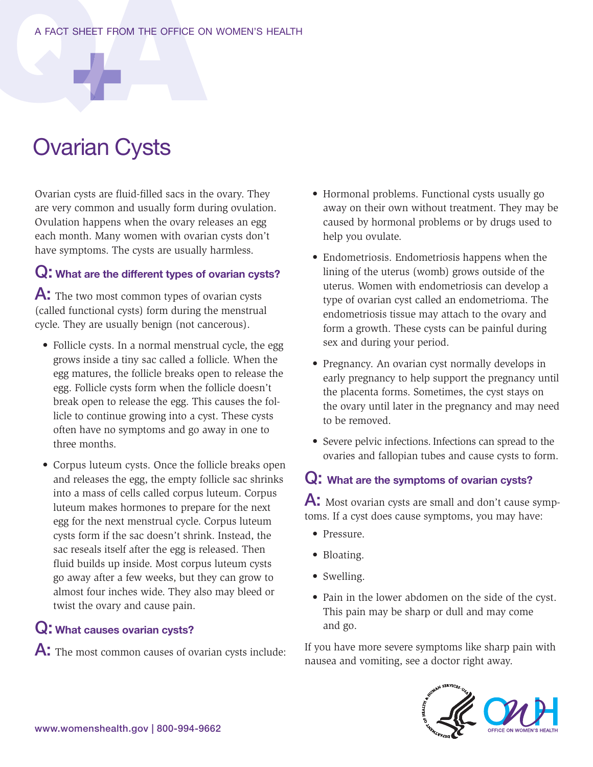# Ovarian Cysts

Ovarian cysts are fluid-filled sacs in the ovary. They are very common and usually form during ovulation. Ovulation happens when the ovary releases an egg each month. Many women with ovarian cysts don't have symptoms. The cysts are usually harmless.

## $Q$ : What are the different types of ovarian cysts?

A: The two most common types of ovarian cysts (called functional cysts) form during the menstrual cycle. They are usually benign (not cancerous).

- Follicle cysts. In a normal menstrual cycle, the egg grows inside a tiny sac called a follicle. When the egg matures, the follicle breaks open to release the egg. Follicle cysts form when the follicle doesn't break open to release the egg. This causes the follicle to continue growing into a cyst. These cysts often have no symptoms and go away in one to three months.
- Corpus luteum cysts. Once the follicle breaks open and releases the egg, the empty follicle sac shrinks into a mass of cells called corpus luteum. Corpus luteum makes hormones to prepare for the next egg for the next menstrual cycle. Corpus luteum cysts form if the sac doesn't shrink. Instead, the sac reseals itself after the egg is released. Then fluid builds up inside. Most corpus luteum cysts go away after a few weeks, but they can grow to almost four inches wide. They also may bleed or twist the ovary and cause pain.

#### Q: What causes ovarian cysts?

A: The most common causes of ovarian cysts include:

- Hormonal problems. Functional cysts usually go away on their own without treatment. They may be caused by hormonal problems or by drugs used to help you ovulate.
- Endometriosis. Endometriosis happens when the lining of the uterus (womb) grows outside of the uterus. Women with endometriosis can develop a type of ovarian cyst called an endometrioma. The endometriosis tissue may attach to the ovary and form a growth. These cysts can be painful during sex and during your period.
- Pregnancy. An ovarian cyst normally develops in early pregnancy to help support the pregnancy until the placenta forms. Sometimes, the cyst stays on the ovary until later in the pregnancy and may need to be removed.
- Severe pelvic infections. Infections can spread to the ovaries and fallopian tubes and cause cysts to form.

#### Q: What are the symptoms of ovarian cysts?

 $\mathsf{A}$ : Most ovarian cysts are small and don't cause symptoms. If a cyst does cause symptoms, you may have:

- Pressure.
- Bloating.
- Swelling.
- Pain in the lower abdomen on the side of the cyst. This pain may be sharp or dull and may come and go.

If you have more severe symptoms like sharp pain with nausea and vomiting, see a doctor right away.